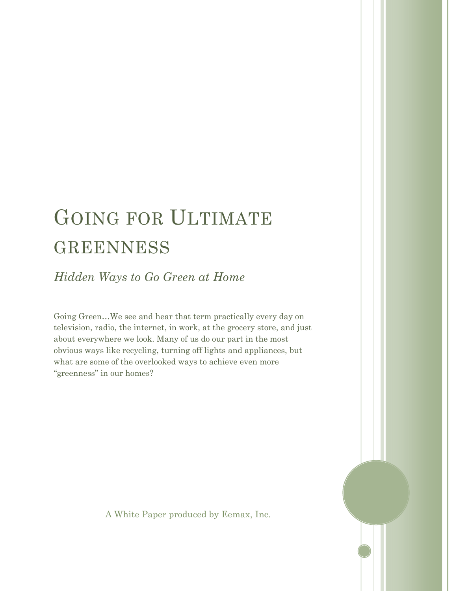# GOING FOR ULTIMATE GREENNESS

*Hidden Ways to Go Green at Home*

Going Green…We see and hear that term practically every day on television, radio, the internet, in work, at the grocery store, and just about everywhere we look. Many of us do our part in the most obvious ways like recycling, turning off lights and appliances, but what are some of the overlooked ways to achieve even more "greenness" in our homes?

A White Paper produced by Eemax, Inc.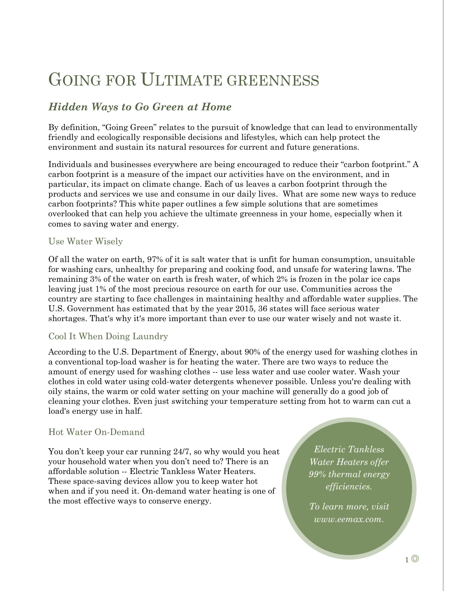## GOING FOR ULTIMATE GREENNESS

### *Hidden Ways to Go Green at Home*

By definition, "Going Green" relates to the pursuit of knowledge that can lead to environmentally friendly and ecologically responsible decisions and lifestyles, which can help protect the environment and sustain its natural resources for current and future generations.

Individuals and businesses everywhere are being encouraged to reduce their "carbon footprint." A carbon footprint is a measure of the impact our activities have on the environment, and in particular, its impact on climate change. Each of us leaves a carbon footprint through the products and services we use and consume in our daily lives. What are some new ways to reduce carbon footprints? This white paper outlines a few simple solutions that are sometimes overlooked that can help you achieve the ultimate greenness in your home, especially when it comes to saving water and energy.

#### Use Water Wisely

Of all the water on earth, 97% of it is salt water that is unfit for human consumption, unsuitable for washing cars, unhealthy for preparing and cooking food, and unsafe for watering lawns. The remaining 3% of the water on earth is fresh water, of which 2% is frozen in the polar ice caps leaving just 1% of the most precious resource on earth for our use. Communities across the country are starting to face challenges in maintaining healthy and affordable water supplies. The U.S. Government has estimated that by the year 2015, 36 states will face serious water shortages. That's why it's more important than ever to use our water wisely and not waste it.

#### Cool It When Doing Laundry

According to the U.S. Department of Energy, about 90% of the energy used for washing clothes in a conventional top-load washer is for heating the water. There are two ways to reduce the amount of energy used for washing clothes -- use less water and use cooler water. Wash your clothes in cold water using cold-water detergents whenever possible. Unless you're dealing with oily stains, the warm or cold water setting on your machine will generally do a good job of cleaning your clothes. Even just switching your temperature setting from hot to warm can cut a load's energy use in half.

#### Hot Water On-Demand

You don't keep your car running 24/7, so why would you heat your household water when you don't need to? There is an affordable solution -- Electric Tankless Water Heaters. These space-saving devices allow you to keep water hot when and if you need it. On-demand water heating is one of the most effective ways to conserve energy.

*Electric Tankless Water Heaters offer 99% thermal energy efficiencies.* 

*To learn more, visit www.eemax.com.*